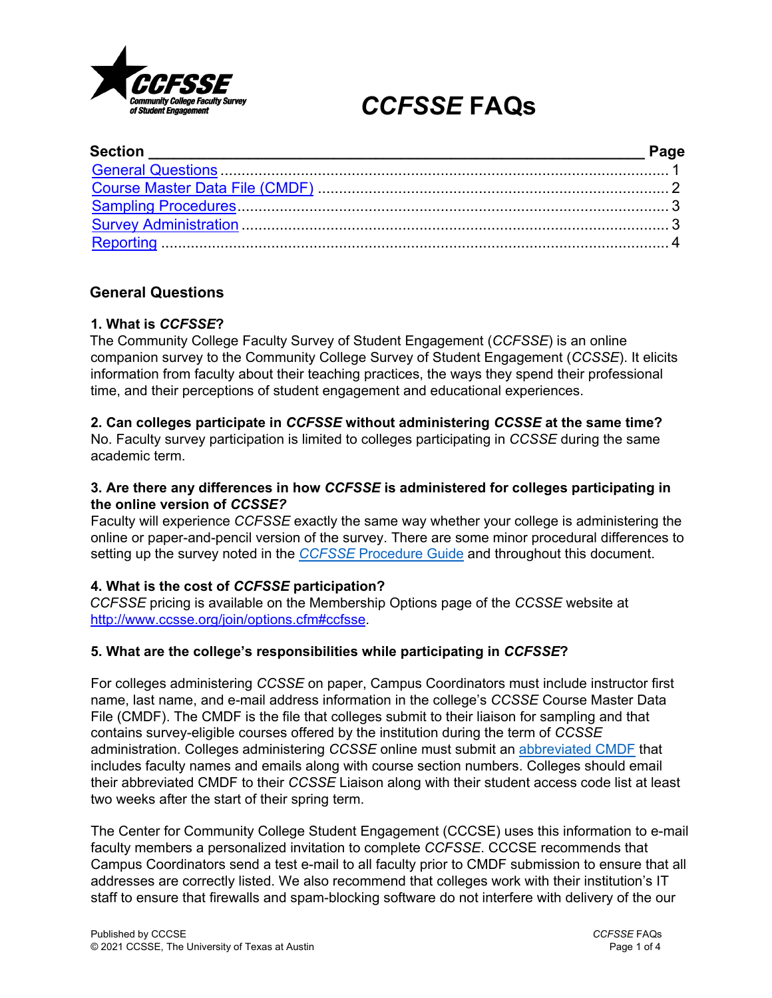

# *CCFSSE* **FAQs**

# <span id="page-0-0"></span>**General Questions**

## **1. What is** *CCFSSE***?**

The Community College Faculty Survey of Student Engagement (*CCFSSE*) is an online companion survey to the Community College Survey of Student Engagement (*CCSSE*). It elicits information from faculty about their teaching practices, the ways they spend their professional time, and their perceptions of student engagement and educational experiences.

## **2. Can colleges participate in** *CCFSSE* **without administering** *CCSSE* **at the same time?**

No. Faculty survey participation is limited to colleges participating in *CCSSE* during the same academic term.

## **3. Are there any differences in how** *CCFSSE* **is administered for colleges participating in the online version of** *CCSSE?*

Faculty will experience *CCFSSE* exactly the same way whether your college is administering the online or paper-and-pencil version of the survey. There are some minor procedural differences to setting up the survey noted in the *CCFSSE* [Procedure Guide](https://www.ccsse.org/members/survey_administration/ccfsse/CCFSSE_Procedure_Guide.pdf?ts=20210910133347) and throughout this document.

# **4. What is the cost of** *CCFSSE* **participation?**

*CCFSSE* pricing is available on the Membership Options page of the *CCSSE* website at [http://www.ccsse.org/join/options.cfm#ccfsse.](http://www.ccsse.org/join/options.cfm#ccfsse)

# **5. What are the college's responsibilities while participating in** *CCFSSE***?**

For colleges administering *CCSSE* on paper, Campus Coordinators must include instructor first name, last name, and e-mail address information in the college's *CCSSE* Course Master Data File (CMDF). The CMDF is the file that colleges submit to their liaison for sampling and that contains survey-eligible courses offered by the institution during the term of *CCSSE* administration. Colleges administering *CCSSE* online must submit an [abbreviated CMDF](https://www.ccsse.org/members/online_administration/Sample_CCFSSE_CMDF.pdf) that includes faculty names and emails along with course section numbers. Colleges should email their abbreviated CMDF to their *CCSSE* Liaison along with their student access code list at least two weeks after the start of their spring term.

The Center for Community College Student Engagement (CCCSE) uses this information to e-mail faculty members a personalized invitation to complete *CCFSSE*. CCCSE recommends that Campus Coordinators send a test e-mail to all faculty prior to CMDF submission to ensure that all addresses are correctly listed. We also recommend that colleges work with their institution's IT staff to ensure that firewalls and spam-blocking software do not interfere with delivery of the our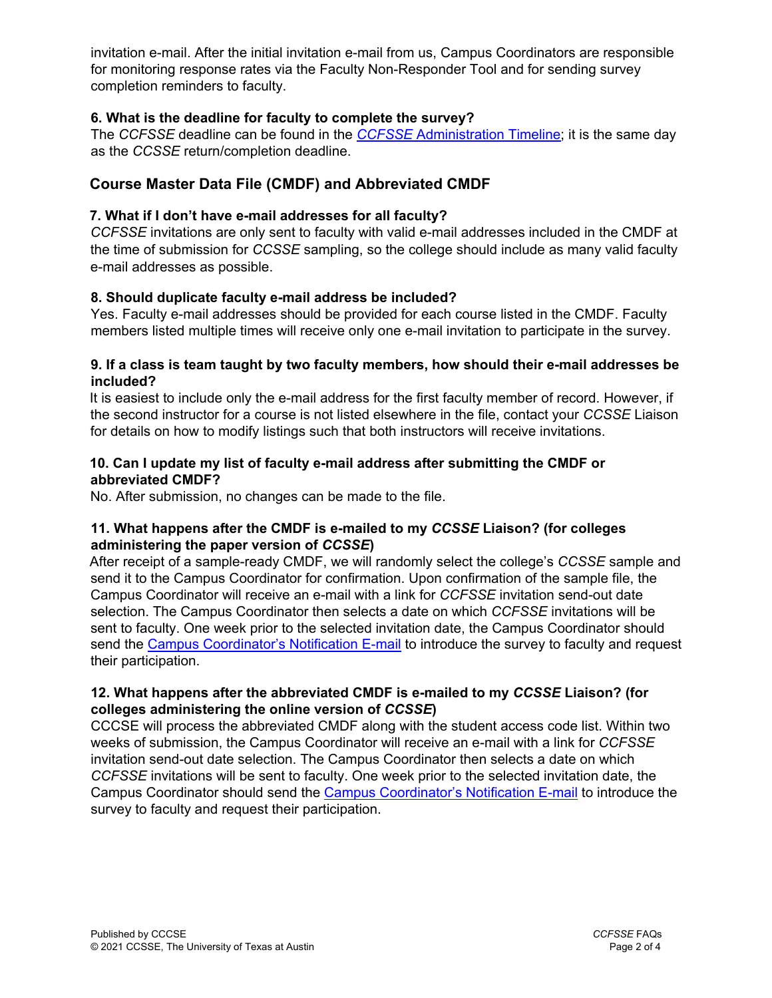invitation e-mail. After the initial invitation e-mail from us, Campus Coordinators are responsible for monitoring response rates via the Faculty Non-Responder Tool and for sending survey completion reminders to faculty.

# **6. What is the deadline for faculty to complete the survey?**

The *CCFSSE* deadline can be found in the *[CCFSSE](http://www.ccsse.org/members/survey_administration/ccfsse/CCFSSE_Semester_Timeline.pdf)* [Administration Timeline;](http://www.ccsse.org/members/survey_administration/ccfsse/CCFSSE_Semester_Timeline.pdf) it is the same day as the *CCSSE* return/completion deadline.

# <span id="page-1-0"></span>**Course Master Data File (CMDF) and Abbreviated CMDF**

## **7. What if I don't have e-mail addresses for all faculty?**

*CCFSSE* invitations are only sent to faculty with valid e-mail addresses included in the CMDF at the time of submission for *CCSSE* sampling, so the college should include as many valid faculty e-mail addresses as possible.

## **8. Should duplicate faculty e-mail address be included?**

Yes. Faculty e-mail addresses should be provided for each course listed in the CMDF. Faculty members listed multiple times will receive only one e-mail invitation to participate in the survey.

#### **9. If a class is team taught by two faculty members, how should their e-mail addresses be included?**

It is easiest to include only the e-mail address for the first faculty member of record. However, if the second instructor for a course is not listed elsewhere in the file, contact your *CCSSE* Liaison for details on how to modify listings such that both instructors will receive invitations.

#### **10. Can I update my list of faculty e-mail address after submitting the CMDF or abbreviated CMDF?**

No. After submission, no changes can be made to the file.

## **11. What happens after the CMDF is e-mailed to my** *CCSSE* **Liaison? (for colleges administering the paper version of** *CCSSE***)**

After receipt of a sample-ready CMDF, we will randomly select the college's *CCSSE* sample and send it to the Campus Coordinator for confirmation. Upon confirmation of the sample file, the Campus Coordinator will receive an e-mail with a link for *CCFSSE* invitation send-out date selection. The Campus Coordinator then selects a date on which *CCFSSE* invitations will be sent to faculty. One week prior to the selected invitation date, the Campus Coordinator should send the [Campus Coordinator's Notification E-mail](http://www.ccsse.org/members/survey_administration/ccfsse/CCFSSE_Coordinator_Email.docx) to introduce the survey to faculty and request their participation.

## **12. What happens after the abbreviated CMDF is e-mailed to my** *CCSSE* **Liaison? (for colleges administering the online version of** *CCSSE***)**

CCCSE will process the abbreviated CMDF along with the student access code list. Within two weeks of submission, the Campus Coordinator will receive an e-mail with a link for *CCFSSE* invitation send-out date selection. The Campus Coordinator then selects a date on which *CCFSSE* invitations will be sent to faculty. One week prior to the selected invitation date, the Campus Coordinator should send the [Campus Coordinator's Notification E-mail](http://www.ccsse.org/members/survey_administration/ccfsse/CCFSSE_Coordinator_Email.docx) [t](http://www.ccsse.org/members/survey_administration/ccfsse/CCFSSE_Coordinator_Email.docx)o introduce the survey to faculty and request their participation.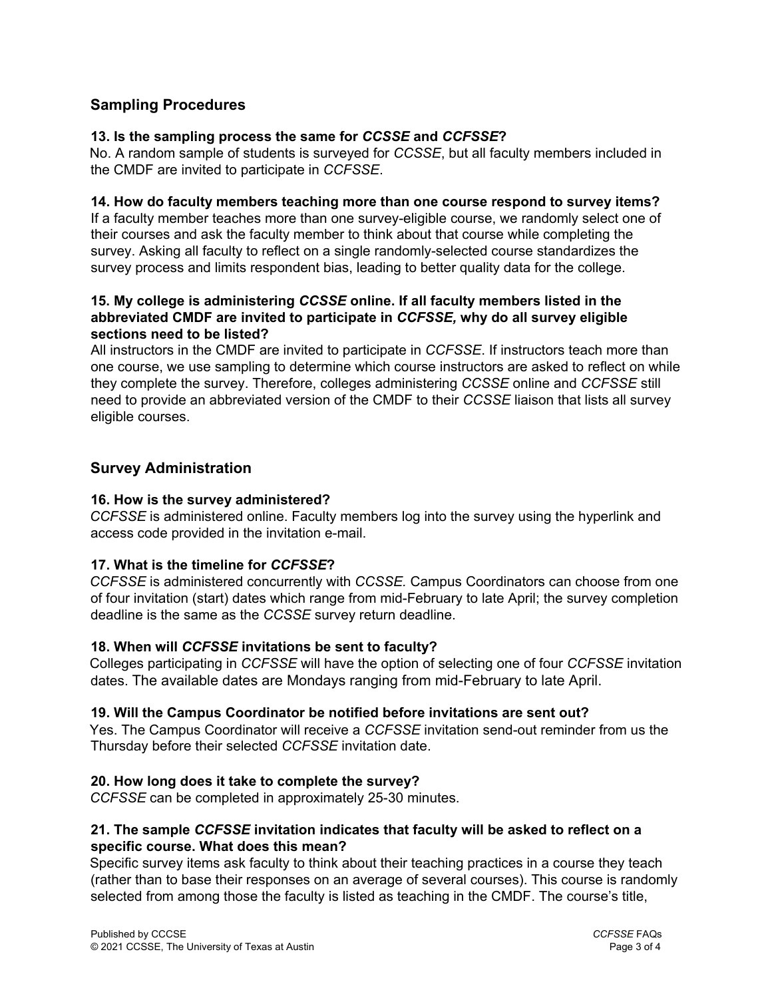# <span id="page-2-0"></span>**Sampling Procedures**

## **13. Is the sampling process the same for** *CCSSE* **and** *CCFSSE***?**

No. A random sample of students is surveyed for *CCSSE*, but all faculty members included in the CMDF are invited to participate in *CCFSSE*.

#### **14. How do faculty members teaching more than one course respond to survey items?**

If a faculty member teaches more than one survey-eligible course, we randomly select one of their courses and ask the faculty member to think about that course while completing the survey. Asking all faculty to reflect on a single randomly-selected course standardizes the survey process and limits respondent bias, leading to better quality data for the college.

### **15. My college is administering** *CCSSE* **online. If all faculty members listed in the abbreviated CMDF are invited to participate in** *CCFSSE,* **why do all survey eligible sections need to be listed?**

All instructors in the CMDF are invited to participate in *CCFSSE*. If instructors teach more than one course, we use sampling to determine which course instructors are asked to reflect on while they complete the survey. Therefore, colleges administering *CCSSE* online and *CCFSSE* still need to provide an abbreviated version of the CMDF to their *CCSSE* liaison that lists all survey eligible courses.

# <span id="page-2-1"></span>**Survey Administration**

#### **16. How is the survey administered?**

*CCFSSE* is administered online. Faculty members log into the survey using the hyperlink and access code provided in the invitation e-mail.

#### **17. What is the timeline for** *CCFSSE***?**

*CCFSSE* is administered concurrently with *CCSSE.* Campus Coordinators can choose from one of four invitation (start) dates which range from mid-February to late April; the survey completion deadline is the same as the *CCSSE* survey return deadline.

#### **18. When will** *CCFSSE* **invitations be sent to faculty?**

Colleges participating in *CCFSSE* will have the option of selecting one of four *CCFSSE* invitation dates. The available dates are Mondays ranging from mid-February to late April.

#### **19. Will the Campus Coordinator be notified before invitations are sent out?**

Yes. The Campus Coordinator will receive a *CCFSSE* invitation send-out reminder from us the Thursday before their selected *CCFSSE* invitation date.

#### **20. How long does it take to complete the survey?**

*CCFSSE* can be completed in approximately 25-30 minutes.

## **21. The sample** *CCFSSE* **invitation indicates that faculty will be asked to reflect on a specific course. What does this mean?**

Specific survey items ask faculty to think about their teaching practices in a course they teach (rather than to base their responses on an average of several courses). This course is randomly selected from among those the faculty is listed as teaching in the CMDF. The course's title,